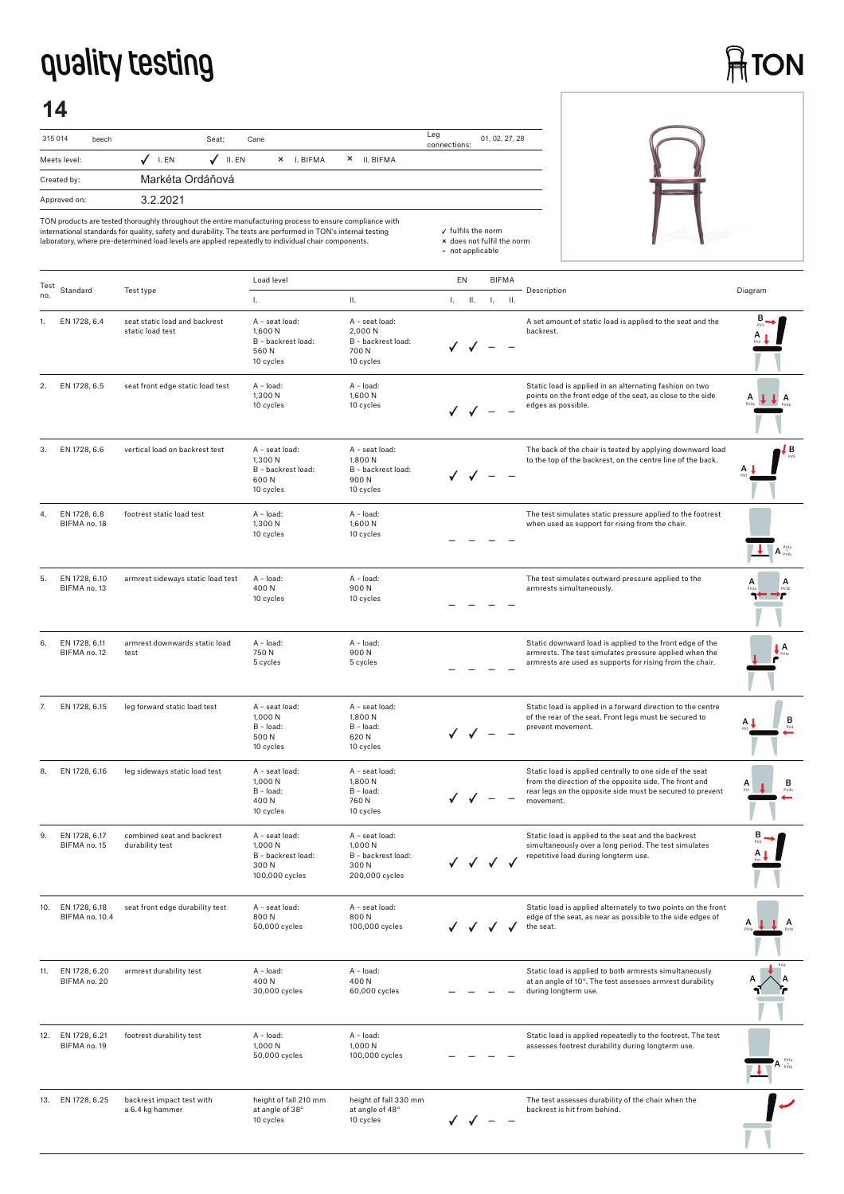## **quality testing**

# **ATON**

## **14**

| 315 014<br>beech | Seat:<br>Cane                                                          | Leg<br>01, 02, 27, 28<br>connections: |
|------------------|------------------------------------------------------------------------|---------------------------------------|
| Meets level:     | $\sqrt{}$ II. EN<br>$J$ I.EN<br>I. BIFMA<br>$\times$<br>II. BIFMA<br>× |                                       |
| Created by:      | Markéta Ordáňová                                                       |                                       |
| Approved on:     | 3.2.2021                                                               |                                       |

|      |                                 | TON products are tested thoroughly throughout the entire manufacturing process to ensure compliance with<br>international standards for quality, safety and durability. The tests are performed in TON's internal testing<br>laboratory, where pre-determined load levels are applied repeatedly to individual chair components. |                                                                            |                                                                           | √ fulfils the norm<br>* does not fulfil the norm<br>- not applicable |  |              |                                                                                                                                                                                              |                                                        |
|------|---------------------------------|----------------------------------------------------------------------------------------------------------------------------------------------------------------------------------------------------------------------------------------------------------------------------------------------------------------------------------|----------------------------------------------------------------------------|---------------------------------------------------------------------------|----------------------------------------------------------------------|--|--------------|----------------------------------------------------------------------------------------------------------------------------------------------------------------------------------------------|--------------------------------------------------------|
| Test | Standard                        | Test type                                                                                                                                                                                                                                                                                                                        | Load level                                                                 |                                                                           | EN                                                                   |  | <b>BIFMA</b> | Description                                                                                                                                                                                  | Diagram                                                |
| no.  | EN 1728, 6.4                    | seat static load and backrest                                                                                                                                                                                                                                                                                                    | $\mathbf{L}$<br>A - seat load:                                             | П.<br>A - seat load:                                                      | $L = H$ .                                                            |  | $L = H$ .    | A set amount of static load is applied to the seat and the                                                                                                                                   |                                                        |
|      |                                 | static load test                                                                                                                                                                                                                                                                                                                 | 1,600 N<br>B - backrest load:<br>560N<br>10 cycles                         | 2,000 N<br>B - backrest load:<br>700N<br>10 cycles                        |                                                                      |  |              | backrest.                                                                                                                                                                                    |                                                        |
| 2.   | EN 1728, 6.5                    | seat front edge static load test                                                                                                                                                                                                                                                                                                 | A - load:<br>1,300 N<br>10 cycles                                          | A - load:<br>1,600 N<br>10 cycles                                         |                                                                      |  |              | Static load is applied in an alternating fashion on two<br>points on the front edge of the seat, as close to the side<br>edges as possible.                                                  | А<br>⊥ A                                               |
| 3.   | EN 1728, 6.6                    | vertical load on backrest test                                                                                                                                                                                                                                                                                                   | A - seat load:<br>1,300 N<br>B - backrest load:<br>600N<br>10 cycles       | A - seat load:<br>1,800N<br>B - backrest load:<br>900N<br>10 cycles       |                                                                      |  |              | The back of the chair is tested by applying downward load<br>to the top of the backrest, on the centre line of the back.                                                                     | LВ                                                     |
| 4.   | EN 1728, 6.8<br>BIFMA no. 18    | footrest static load test                                                                                                                                                                                                                                                                                                        | A - load:<br>1,300 N<br>10 cycles                                          | A - load:<br>1,600N<br>10 cycles                                          |                                                                      |  |              | The test simulates static pressure applied to the footrest<br>when used as support for rising from the chair.                                                                                | $\overline{\mathbf{A}}$ A $_{\text{evb}}^{\text{eva}}$ |
| 5.   | EN 1728, 6.10<br>BIFMA no. 13   | armrest sideways static load test                                                                                                                                                                                                                                                                                                | A - load:<br>400N<br>10 cycles                                             | A - load:<br>900N<br>10 cycles                                            |                                                                      |  |              | The test simulates outward pressure applied to the<br>armrests simultaneously.                                                                                                               |                                                        |
| 6.   | EN 1728, 6.11<br>BIFMA no. 12   | armrest downwards static load<br>test                                                                                                                                                                                                                                                                                            | A - load:<br>750N<br>5 cycles                                              | A - load:<br>900N<br>5 cycles                                             |                                                                      |  |              | Static downward load is applied to the front edge of the<br>armrests. The test simulates pressure applied when the<br>armrests are used as supports for rising from the chair.               | ŢΑ                                                     |
| 7.   | EN 1728, 6.15                   | leg forward static load test                                                                                                                                                                                                                                                                                                     | A - seat load:<br>1,000 N<br>B - load:<br>500 N<br>10 cycles               | A - seat load:<br>1,800 N<br>B - load:<br>620N<br>10 cycles               |                                                                      |  |              | Static load is applied in a forward direction to the centre<br>of the rear of the seat. Front legs must be secured to<br>prevent movement.                                                   |                                                        |
| 8.   | EN 1728, 6.16                   | leg sideways static load test                                                                                                                                                                                                                                                                                                    | A - seat load:<br>1,000 N<br>B - load:<br>400N<br>10 cycles                | A - seat load:<br>1,800 N<br>B - load:<br>760 N<br>10 cycles              |                                                                      |  |              | Static load is applied centrally to one side of the seat<br>from the direction of the opposite side. The front and<br>rear legs on the opposite side must be secured to prevent<br>movement. | в<br>А                                                 |
| 9.   | EN 1728, 6.17<br>BIFMA no. 15   | combined seat and backrest<br>durability test                                                                                                                                                                                                                                                                                    | A - seat load:<br>1.000 N<br>B - backrest load:<br>300 N<br>100,000 cycles | A - seat load:<br>1,000 N<br>B - backrest load:<br>300N<br>200,000 cycles |                                                                      |  | √ √ √ √      | Static load is applied to the seat and the backrest<br>simultaneously over a long period. The test simulates<br>repetitive load during longterm use.                                         |                                                        |
| 10.  | EN 1728, 6.18<br>BIFMA no. 10.4 | seat front edge durability test                                                                                                                                                                                                                                                                                                  | A - seat load:<br>800N<br>50,000 cycles                                    | A - seat load:<br>800N<br>100,000 cycles                                  |                                                                      |  |              | Static load is applied alternately to two points on the front<br>edge of the seat, as near as possible to the side edges of<br>the seat.                                                     | A                                                      |
| 11.  | EN 1728, 6.20<br>BIFMA no. 20   | armrest durability test                                                                                                                                                                                                                                                                                                          | A - load:<br>400N<br>30,000 cycles                                         | A - load:<br>400N<br>60,000 cycles                                        |                                                                      |  |              | Static load is applied to both armrests simultaneously<br>at an angle of 10°. The test assesses armrest durability<br>during longterm use.                                                   |                                                        |
| 12.  | EN 1728, 6.21<br>BIFMA no. 19   | footrest durability test                                                                                                                                                                                                                                                                                                         | A - load:<br>1,000 N<br>50,000 cycles                                      | A - load:<br>1,000 N<br>100,000 cycles                                    |                                                                      |  |              | Static load is applied repeatedly to the footrest. The test<br>assesses footrest durability during longterm use.                                                                             | $\mathbf{A}$ $_{\text{PVD}}^{\text{PV1a}}$             |
|      | 13. EN 1728, 6.25               | backrest impact test with<br>a 6.4 kg hammer                                                                                                                                                                                                                                                                                     | height of fall 210 mm<br>at angle of 38°<br>10 cycles                      | height of fall 330 mm<br>at angle of 48°<br>10 cycles                     |                                                                      |  |              | The test assesses durability of the chair when the<br>backrest is hit from behind.                                                                                                           |                                                        |

 $\sqrt{ }$   $\sqrt{ }$  – –